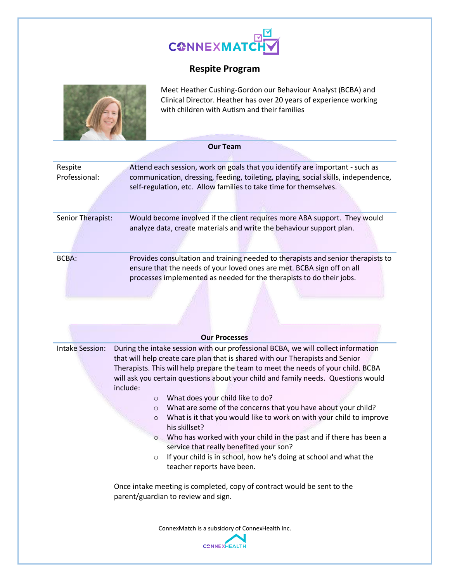

## **Respite Program**



Meet Heather Cushing-Gordon our Behaviour Analyst (BCBA) and Clinical Director. Heather has over 20 years of experience working with children with Autism and their families

| <b>Our Team</b>          |                                                                                                                                                                                                                                                                                                                                                                                                                                                                                                                                                                                                                                                                                                                                                                                                                                   |  |  |  |  |
|--------------------------|-----------------------------------------------------------------------------------------------------------------------------------------------------------------------------------------------------------------------------------------------------------------------------------------------------------------------------------------------------------------------------------------------------------------------------------------------------------------------------------------------------------------------------------------------------------------------------------------------------------------------------------------------------------------------------------------------------------------------------------------------------------------------------------------------------------------------------------|--|--|--|--|
| Respite<br>Professional: | Attend each session, work on goals that you identify are important - such as<br>communication, dressing, feeding, toileting, playing, social skills, independence,<br>self-regulation, etc. Allow families to take time for themselves.                                                                                                                                                                                                                                                                                                                                                                                                                                                                                                                                                                                           |  |  |  |  |
| Senior Therapist:        | Would become involved if the client requires more ABA support. They would<br>analyze data, create materials and write the behaviour support plan.                                                                                                                                                                                                                                                                                                                                                                                                                                                                                                                                                                                                                                                                                 |  |  |  |  |
| <b>BCBA:</b>             | Provides consultation and training needed to therapists and senior therapists to<br>ensure that the needs of your loved ones are met. BCBA sign off on all<br>processes implemented as needed for the therapists to do their jobs.                                                                                                                                                                                                                                                                                                                                                                                                                                                                                                                                                                                                |  |  |  |  |
|                          | <b>Our Processes</b>                                                                                                                                                                                                                                                                                                                                                                                                                                                                                                                                                                                                                                                                                                                                                                                                              |  |  |  |  |
| <b>Intake Session:</b>   | During the intake session with our professional BCBA, we will collect information<br>that will help create care plan that is shared with our Therapists and Senior<br>Therapists. This will help prepare the team to meet the needs of your child. BCBA<br>will ask you certain questions about your child and family needs. Questions would<br>include:<br>What does your child like to do?<br>$\circ$<br>What are some of the concerns that you have about your child?<br>$\circ$<br>What is it that you would like to work on with your child to improve<br>$\circ$<br>his skillset?<br>Who has worked with your child in the past and if there has been a<br>$\circ$<br>service that really benefited your son?<br>If your child is in school, how he's doing at school and what the<br>$\circ$<br>teacher reports have been. |  |  |  |  |
|                          | Once intake meeting is completed, copy of contract would be sent to the<br>parent/guardian to review and sign.                                                                                                                                                                                                                                                                                                                                                                                                                                                                                                                                                                                                                                                                                                                    |  |  |  |  |
|                          | ConnexMatch is a subsidory of ConnexHealth Inc.<br><b>CONNEXHEALTH</b>                                                                                                                                                                                                                                                                                                                                                                                                                                                                                                                                                                                                                                                                                                                                                            |  |  |  |  |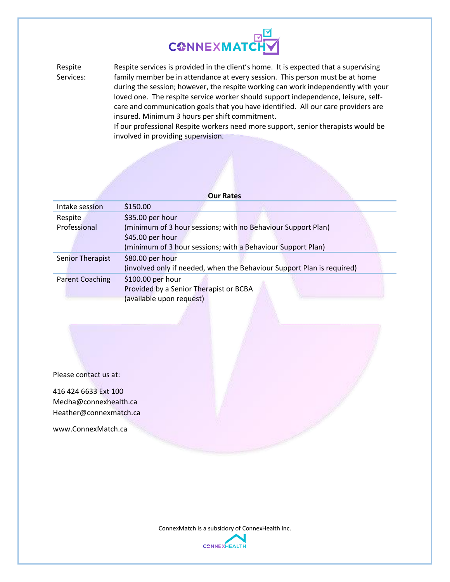

Respite Services: Respite services is provided in the client's home. It is expected that a supervising family member be in attendance at every session. This person must be at home during the session; however, the respite working can work independently with your loved one. The respite service worker should support independence, leisure, selfcare and communication goals that you have identified. All our care providers are insured. Minimum 3 hours per shift commitment.

If our professional Respite workers need more support, senior therapists would be involved in providing supervision.

|                                                             | <b>Our Rates</b>                                                       |  |  |  |  |
|-------------------------------------------------------------|------------------------------------------------------------------------|--|--|--|--|
| Intake session                                              | \$150.00                                                               |  |  |  |  |
| Respite                                                     | \$35.00 per hour                                                       |  |  |  |  |
| Professional                                                | (minimum of 3 hour sessions; with no Behaviour Support Plan)           |  |  |  |  |
|                                                             | \$45.00 per hour                                                       |  |  |  |  |
| (minimum of 3 hour sessions; with a Behaviour Support Plan) |                                                                        |  |  |  |  |
| Senior Therapist                                            | \$80.00 per hour                                                       |  |  |  |  |
|                                                             | (involved only if needed, when the Behaviour Support Plan is required) |  |  |  |  |
| <b>Parent Coaching</b>                                      | \$100.00 per hour                                                      |  |  |  |  |
|                                                             | Provided by a Senior Therapist or BCBA                                 |  |  |  |  |
|                                                             | (available upon request)                                               |  |  |  |  |

Please contact us at:

416 424 6633 Ext 100 Medha@connexhealth.ca Heather@connexmatch.ca

www.ConnexMatch.ca

ConnexMatch is a subsidory of ConnexHealth Inc.